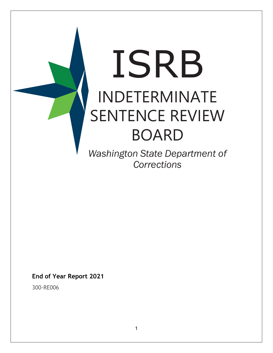

**End of Year Report 2021**

300-RE006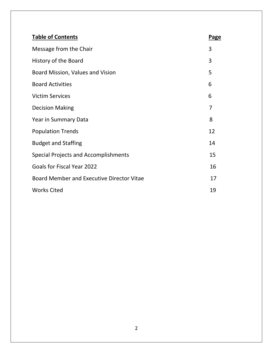| <b>Table of Contents</b>                         | <b>Page</b> |
|--------------------------------------------------|-------------|
| Message from the Chair                           | 3           |
| History of the Board                             | 3           |
| Board Mission, Values and Vision                 | 5           |
| <b>Board Activities</b>                          | 6           |
| <b>Victim Services</b>                           | 6           |
| <b>Decision Making</b>                           | 7           |
| Year in Summary Data                             | 8           |
| <b>Population Trends</b>                         | 12          |
| <b>Budget and Staffing</b>                       | 14          |
| Special Projects and Accomplishments             | 15          |
| <b>Goals for Fiscal Year 2022</b>                | 16          |
| <b>Board Member and Executive Director Vitae</b> | 17          |
| <b>Works Cited</b>                               | 19          |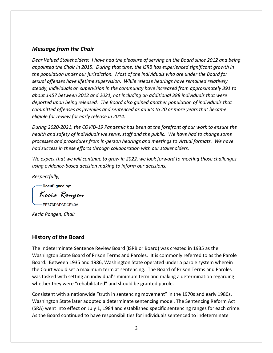### *Message from the Chair*

*Dear Valued Stakeholders: I have had the pleasure of serving on the Board since 2012 and being appointed the Chair in 2015. During that time, the ISRB has experienced significant growth in the population under our jurisdiction. Most of the individuals who are under the Board for sexual offenses have lifetime supervision. While release hearings have remained relatively steady, individuals on supervision in the community have increased from approximately 391 to about 1457 between 2012 and 2021, not including an additional 388 individuals that were deported upon being released. The Board also gained another population of individuals that committed offenses as juveniles and sentenced as adults to 20 or more years that became eligible for review for early release in 2014.* 

*During 2020-2021, the COVID-19 Pandemic has been at the forefront of our work to ensure the health and safety of individuals we serve, staff and the public. We have had to change some processes and procedures from in-person hearings and meetings to virtual formats. We have had success in these efforts through collaboration with our stakeholders.*

*We expect that we will continue to grow in 2022, we look forward to meeting those challenges using evidence-based decision making to inform our decisions.*

*Respectfully,*

-DocuSigned by:

Kecia Rongen

 $-EE373DAD3DCE40A...$ 

*Kecia Rongen, Chair*

# **History of the Board**

The Indeterminate Sentence Review Board (ISRB or Board) was created in 1935 as the Washington State Board of Prison Terms and Paroles. It is commonly referred to as the Parole Board. Between 1935 and 1986, Washington State operated under a parole system wherein the Court would set a maximum term at sentencing. The Board of Prison Terms and Paroles was tasked with setting an individual's minimum term and making a determination regarding whether they were "rehabilitated" and should be granted parole.

Consistent with a nationwide "truth in sentencing movement" in the 1970s and early 1980s, Washington State later adopted a determinate sentencing model. The Sentencing Reform Act (SRA) went into effect on July 1, 1984 and established specific sentencing ranges for each crime. As the Board continued to have responsibilities for individuals sentenced to indeterminate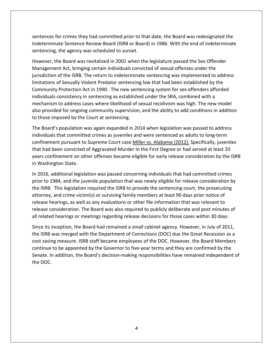sentences for crimes they had committed prior to that date, the Board was redesignated the Indeterminate Sentence Review Board (ISRB or Board) in 1986. With the end of indeterminate sentencing, the agency was scheduled to sunset.

However, the Board was revitalized in 2001 when the legislature passed the Sex Offender Management Act, bringing certain individuals convicted of sexual offenses under the jurisdiction of the ISRB. The return to indeterminate sentencing was implemented to address limitations of Sexually Violent Predator sentencing law that had been established by the Community Protection Act in 1990. The new sentencing system for sex offenders afforded individuals consistency in sentencing as established under the SRA, combined with a mechanism to address cases where likelihood of sexual recidivism was high. The new model also provided for ongoing community supervision, and the ability to add conditions in addition to those imposed by the Court at sentencing.

The Board's population was again expanded in 2014 when legislation was passed to address individuals that committed crimes as juveniles and were sentenced as adults to long-term confinement pursuant to Supreme Court case Miller vs. Alabama (2012). Specifically, juveniles that had been convicted of Aggravated Murder in the First Degree or had served at least 20 years confinement on other offenses became eligible for early release consideration by the ISRB in Washington State.

In 2016, additional legislation was passed concerning individuals that had committed crimes prior to 1984, and the juvenile population that was newly eligible for release consideration by the ISRB. This legislation required the ISRB to provide the sentencing court, the prosecuting attorney, and crime victim(s) or surviving family members at least 90 days prior notice of release hearings, as well as any evaluations or other file information that was relevant to release consideration. The Board was also required to publicly deliberate and post minutes of all related hearings or meetings regarding release decisions for those cases within 30 days.

Since its inception, the Board had remained a small cabinet agency. However, in July of 2011, the ISRB was merged with the Department of Corrections (DOC) due the Great Recession as a cost saving measure. ISRB staff became employees of the DOC. However, the Board Members continue to be appointed by the Governor to five-year terms and they are confirmed by the Senate. In addition, the Board's decision-making responsibilities have remained independent of the DOC.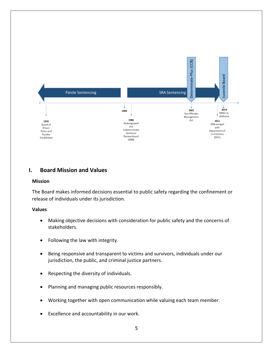

# **I. Board Mission and Values**

#### **Mission**

The Board makes informed decisions essential to public safety regarding the confinement or release of individuals under its jurisdiction.

### **Values**

- Making objective decisions with consideration for public safety and the concerns of stakeholders.
- Following the law with integrity.
- Being responsive and transparent to victims and survivors, individuals under our jurisdiction, the public, and criminal justice partners.
- Respecting the diversity of individuals.
- Planning and managing public resources responsibly.
- Working together with open communication while valuing each team member.
- Excellence and accountability in our work.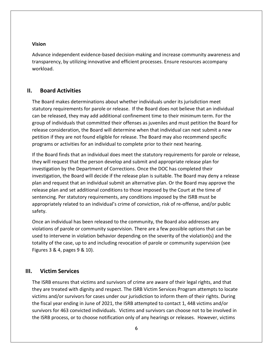### **Vision**

Advance independent evidence-based decision-making and increase community awareness and transparency, by utilizing innovative and efficient processes. Ensure resources accompany workload.

### **II. Board Activities**

The Board makes determinations about whether individuals under its jurisdiction meet statutory requirements for parole or release. If the Board does not believe that an individual can be released, they may add additional confinement time to their minimum term. For the group of individuals that committed their offenses as juveniles and must petition the Board for release consideration, the Board will determine when that individual can next submit a new petition if they are not found eligible for release. The Board may also recommend specific programs or activities for an individual to complete prior to their next hearing.

If the Board finds that an individual does meet the statutory requirements for parole or release, they will request that the person develop and submit and appropriate release plan for investigation by the Department of Corrections. Once the DOC has completed their investigation, the Board will decide if the release plan is suitable. The Board may deny a release plan and request that an individual submit an alternative plan. Or the Board may approve the release plan and set additional conditions to those imposed by the Court at the time of sentencing. Per statutory requirements, any conditions imposed by the ISRB must be appropriately related to an individual's crime of conviction, risk of re-offense, and/or public safety.

Once an individual has been released to the community, the Board also addresses any violations of parole or community supervision. There are a few possible options that can be used to intervene in violation behavior depending on the severity of the violation(s) and the totality of the case, up to and including revocation of parole or community supervision (see Figures 3 & 4, pages 9 & 10).

### **III. Victim Services**

The ISRB ensures that victims and survivors of crime are aware of their legal rights, and that they are treated with dignity and respect. The ISRB Victim Services Program attempts to locate victims and/or survivors for cases under our jurisdiction to inform them of their rights. During the fiscal year ending in June of 2021, the ISRB attempted to contact 1, 448 victims and/or survivors for 463 convicted individuals. Victims and survivors can choose not to be involved in the ISRB process, or to choose notification only of any hearings or releases. However, victims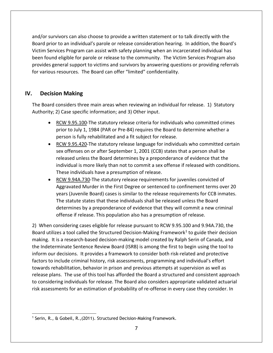and/or survivors can also choose to provide a written statement or to talk directly with the Board prior to an individual's parole or release consideration hearing. In addition, the Board's Victim Services Program can assist with safety planning when an incarcerated individual has been found eligible for parole or release to the community. The Victim Services Program also provides general support to victims and survivors by answering questions or providing referrals for various resources. The Board can offer "limited" confidentiality.

### **IV. Decision Making**

The Board considers three main areas when reviewing an individual for release. 1) Statutory Authority; 2) Case specific information; and 3) Other input.

- RCW 9.95.100-The statutory release criteria for individuals who committed crimes prior to July 1, 1984 (PAR or Pre-84) requires the Board to determine whether a person is fully rehabilitated and a fit subject for release.
- RCW 9.95.420-The statutory release language for individuals who committed certain sex offenses on or after September 1, 2001 (CCB) states that a person shall be released unless the Board determines by a preponderance of evidence that the individual is more likely than not to commit a sex offense if released with conditions. These individuals have a presumption of release.
- RCW 9.94A.730-The statutory release requirements for juveniles convicted of Aggravated Murder in the First Degree or sentenced to confinement terms over 20 years (Juvenile Board) cases is similar to the release requirements for CCB inmates. The statute states that these individuals shall be released unless the Board determines by a preponderance of evidence that they will commit a new criminal offense if release. This population also has a presumption of release.

2) When considering cases eligible for release pursuant to RCW 9.95.100 and 9.94A.730, the Board utilizes a tool called the Structured Decision-Making Framework<sup>[1](#page-6-0)</sup> to guide their decision making. It is a research-based decision-making model created by Ralph Serin of Canada, and the Indeterminate Sentence Review Board (ISRB) is among the first to begin using the tool to inform our decisions. It provides a framework to consider both risk-related and protective factors to include criminal history, risk assessments, programming and individual's effort towards rehabilitation, behavior in prison and previous attempts at supervision as well as release plans. The use of this tool has afforded the Board a structured and consistent approach to considering individuals for release. The Board also considers appropriate validated actuarial risk assessments for an estimation of probability of re-offense in every case they consider. In

<span id="page-6-0"></span><sup>&</sup>lt;sup>1</sup> Serin, R., & Gobeil, R., (2011). Structured Decision-Making Framework.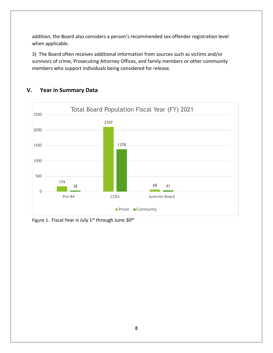addition, the Board also considers a person's recommended sex offender registration level when applicable.

3) The Board often receives additional information from sources such as victims and/or survivors of crime, Prosecuting Attorney Offices, and family members or other community members who support individuals being considered for release.



# **V. Year in Summary Data**

Figure 1. Fiscal Year is July 1st through June 30<sup>th</sup>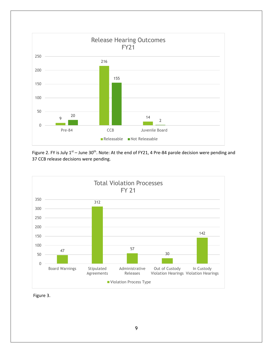

Figure 2. FY is July  $1^{st}$  – June 30<sup>th</sup>. Note: At the end of FY21, 4 Pre-84 parole decision were pending and CCB release decisions were pending.



Figure 3.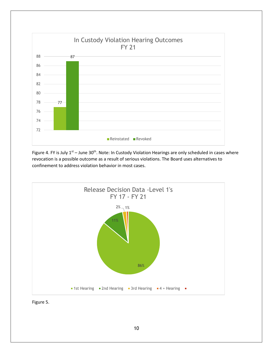

Figure 4. FY is July  $1<sup>st</sup>$  – June 30<sup>th</sup>. Note: In Custody Violation Hearings are only scheduled in cases where revocation is a possible outcome as a result of serious violations. The Board uses alternatives to confinement to address violation behavior in most cases.



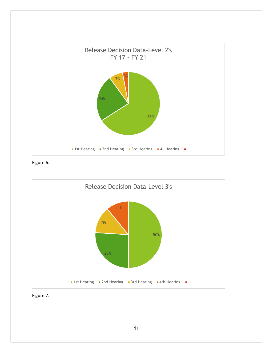

Figure 6.



Figure 7.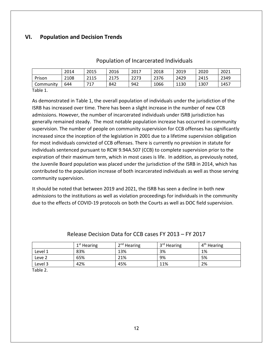# **VI. Population and Decision Trends**

# Population of Incarcerated Individuals

|           | 2014 | 2015     | 2016 | 2017 | 2018 | 2019 | 2020 | 2021 |
|-----------|------|----------|------|------|------|------|------|------|
| Prison    | 2108 | 2115     | 2175 | 2273 | 2376 | 2429 | 2415 | 2349 |
| Community | 644  | 717<br>⊥ | 842  | 942  | 1066 | 1130 | 1307 | 1457 |
| -         |      |          |      |      |      |      |      |      |

Table 1.

As demonstrated in Table 1, the overall population of individuals under the jurisdiction of the ISRB has increased over time. There has been a slight increase in the number of new CCB admissions. However, the number of incarcerated individuals under ISRB jurisdiction has generally remained steady. The most notable population increase has occurred in community supervision. The number of people on community supervision for CCB offenses has significantly increased since the inception of the legislation in 2001 due to a lifetime supervision obligation for most individuals convicted of CCB offenses. There is currently no provision in statute for individuals sentenced pursuant to RCW 9.94A.507 (CCB) to complete supervision prior to the expiration of their maximum term, which in most cases is life. In addition, as previously noted, the Juvenile Board population was placed under the jurisdiction of the ISRB in 2014, which has contributed to the population increase of both incarcerated individuals as well as those serving community supervision.

It should be noted that between 2019 and 2021, the ISRB has seen a decline in both new admissions to the institutions as well as violation proceedings for individuals in the community due to the effects of COVID-19 protocols on both the Courts as well as DOC field supervision.

|                   | $1st$ Hearing | $2nd$ Hearing | 3 <sup>rd</sup> Hearing | 4 <sup>th</sup> Hearing |
|-------------------|---------------|---------------|-------------------------|-------------------------|
| Level 1           | 83%           | 13%           | 3%                      | 1%                      |
| Leve <sub>2</sub> | 65%           | 21%           | 9%                      | 5%                      |
| Level 3           | 42%           | 45%           | 11%                     | 2%                      |
| _ _               |               |               |                         |                         |

### Release Decision Data for CCB cases FY 2013 – FY 2017

Table 2.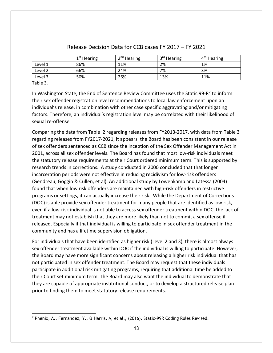|         | $1st$ Hearing | $2nd$ Hearing | 3 <sup>rd</sup> Hearing | 4 <sup>th</sup> Hearing |
|---------|---------------|---------------|-------------------------|-------------------------|
| Level 1 | 86%           | 11%           | 2%                      | 1%                      |
| Level 2 | 66%           | 24%           | 7%                      | 3%                      |
| Level 3 | 50%           | 26%           | 13%                     | 11%                     |

### Release Decision Data for CCB cases FY 2017 – FY 2021

Table 3.

In Washington State, the End of Sentence Review Committee uses the Static 99- $R^2$  $R^2$  to inform their sex offender registration level recommendations to local law enforcement upon an individual's release, in combination with other case specific aggravating and/or mitigating factors. Therefore, an individual's registration level may be correlated with their likelihood of sexual re-offense.

Comparing the data from Table 2 regarding releases from FY2013-2017, with data from Table 3 regarding releases from FY2017-2021, it appears the Board has been consistent in our release of sex offenders sentenced as CCB since the inception of the Sex Offender Management Act in 2001, across all sex offender levels. The Board has found that most low-risk individuals meet the statutory release requirements at their Court ordered minimum term. This is supported by research trends in corrections. A study conducted in 2000 concluded that that longer incarceration periods were not effective in reducing recidivism for low-risk offenders (Gendreau, Goggin & Cullen, et al). An additional study by Lowenkamp and Latessa (2004) found that when low risk offenders are maintained with high-risk offenders in restrictive programs or settings, it can actually increase their risk. While the Department of Corrections (DOC) is able provide sex offender treatment for many people that are identified as low risk, even if a low-risk individual is not able to access sex offender treatment within DOC, the lack of treatment may not establish that they are more likely than not to commit a sex offense if released. Especially if that individual is willing to participate in sex offender treatment in the community and has a lifetime supervision obligation.

For individuals that have been identified as higher risk (Level 2 and 3), there is almost always sex offender treatment available within DOC if the individual is willing to participate. However, the Board may have more significant concerns about releasing a higher risk individual that has not participated in sex offender treatment. The Board may request that these individuals participate in additional risk mitigating programs, requiring that additional time be added to their Court set minimum term. The Board may also want the individual to demonstrate that they are capable of appropriate institutional conduct, or to develop a structured release plan prior to finding them to meet statutory release requirements.

<span id="page-12-0"></span><sup>2</sup> Phenix, A., Fernandez, Y., & Harris, A, et al., (2016). Static-99R Coding Rules Revised.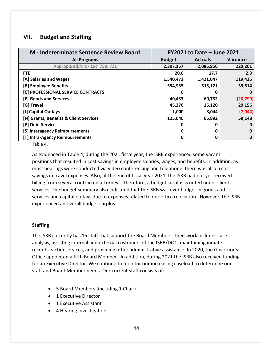# **VII. Budget and Staffing**

| M - Indeterminate Sentence Review Board | <b>FY2021 to Date - June 2021</b> |                |           |
|-----------------------------------------|-----------------------------------|----------------|-----------|
| <b>All Programs</b>                     | <b>Budget</b>                     | <b>Actuals</b> | Variance  |
| Approp, Bud, Mix - Excl 759, 721        | 2,307,157                         | 2,086,956      | 220,201   |
| <b>FTE</b>                              | 20.0                              | 17.7           | 2.3       |
| [A] Salaries and Wages                  | 1,540,473                         | 1,421,047      | 119,426   |
| [B] Employee Benefits                   | 554,935                           | 515,121        | 39,814    |
| [C] PROFESSIONAL SERVICE CONTRACTS      | O                                 | 0              | 0         |
| [E] Goods and Services                  | 40,433                            | 60,732         | (20, 299) |
| [G] Travel                              | 45,276                            | 16,120         | 29,156    |
| [J] Capital Outlays                     | 1,000                             | 8,044          | (7,044)   |
| [N] Grants, Benefits & Client Services  | 125,040                           | 65,892         | 59,148    |
| [P] Debt Service                        | 0                                 | 0              | 0         |
| [S] Interagency Reimbursements          | n                                 | O              | 0         |
| [T] Intra-Agency Reimbursements         | O                                 | 0              | 0         |

Table 4.

As evidenced in Table 4, during the 2021 fiscal year, the ISRB experienced some vacant positions that resulted in cost savings in employee salaries, wages, and benefits. In addition, as most hearings were conducted via video conferencing and telephone, there was also a cost savings in travel expenses. Also, at the end of fiscal year 2021, the ISRB had not yet received billing from several contracted attorneys. Therefore, a budget surplus is noted under client services. The budget summary also indicated that the ISRB was over budget in goods and services and capital outlays due to expenses related to our office relocation. However, the ISRB experienced an overall budget surplus.

### **Staffing**

The ISRB currently has 15 staff that support the Board Members. Their work includes case analysis, assisting internal and external customers of the ISRB/DOC, maintaining inmate records, victim services, and providing other administrative assistance. In 2020, the Governor's Office appointed a fifth Board Member. In addition, during 2021 the ISRB also received funding for an Executive Director. We continue to monitor our increasing caseload to determine our staff and Board Member needs. Our current staff consists of:

- 5 Board Members (including 1 Chair)
- 1 Executive Director
- 1 Executive Assistant
- 4 Hearing Investigators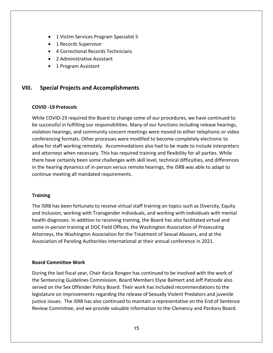- 1 Victim Services Program Specialist 5
- 1 Records Supervisor
- 4 Correctional Records Technicians
- 2 Administrative Assistant
- 1 Program Assistant

### **VIII. Special Projects and Accomplishments**

#### **COVID -19 Protocols**

While COVID-19 required the Board to change some of our procedures, we have continued to be successful in fulfilling our responsibilities. Many of our functions including release hearings, violation hearings, and community concern meetings were moved to either telephonic or video conferencing formats. Other processes were modified to become completely electronic to allow for staff working remotely. Accommodations also had to be made to include interpreters and attorneys when necessary. This has required training and flexibility for all parties. While there have certainly been some challenges with skill level, technical difficulties, and differences in the hearing dynamics of in-person versus remote hearings, the ISRB was able to adapt to continue meeting all mandated requirements.

### **Training**

The ISRB has been fortunate to receive virtual staff training on topics such as Diversity, Equity and Inclusion, working with Transgender individuals, and working with individuals with mental health diagnoses. In addition to receiving training, the Board has also facilitated virtual and some in-person training at DOC Field Offices, the Washington Association of Prosecuting Attorneys, the Washington Association for the Treatment of Sexual Abusers, and at the Association of Paroling Authorities International at their annual conference in 2021.

### **Board Committee Work**

During the last fiscal year, Chair Kecia Rongen has continued to be involved with the work of the Sentencing Guidelines Commission. Board Members Elyse Balmert and Jeff Patnode also served on the Sex Offender Policy Board. Their work has included recommendations to the legislature on improvements regarding the release of Sexually Violent Predators and juvenile justice issues. The ISRB has also continued to maintain a representative on the End of Sentence Review Committee, and we provide valuable information to the Clemency and Pardons Board.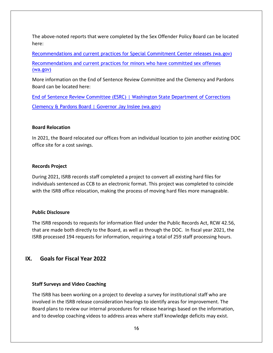The above-noted reports that were completed by the Sex Offender Policy Board can be located here:

[Recommendations and current practices for Special Commitment Center releases \(wa.gov\)](https://sgc.wa.gov/sites/default/files/public/SOPB/documents/recommendations_and_current_practices_special_commitment_center_releases.pdf) [Recommendations and current practices for minors who have committed sex offenses](https://sgc.wa.gov/sites/default/files/public/SOPB/documents/SOPB_Juvenile_Report.pdf)  [\(wa.gov\)](https://sgc.wa.gov/sites/default/files/public/SOPB/documents/SOPB_Juvenile_Report.pdf)

More information on the End of Sentence Review Committee and the Clemency and Pardons Board can be located here:

[End of Sentence Review Committee \(ESRC\) | Washington State Department of Corrections](https://www.doc.wa.gov/corrections/justice/esrc.htm) [Clemency & Pardons Board | Governor Jay Inslee \(wa.gov\)](https://www.governor.wa.gov/boards-commissions/clemency-pardons-board)

#### **Board Relocation**

In 2021, the Board relocated our offices from an individual location to join another existing DOC office site for a cost savings.

#### **Records Project**

During 2021, ISRB records staff completed a project to convert all existing hard files for individuals sentenced as CCB to an electronic format. This project was completed to coincide with the ISRB office relocation, making the process of moving hard files more manageable.

#### **Public Disclosure**

The ISRB responds to requests for information filed under the Public Records Act, RCW 42.56, that are made both directly to the Board, as well as through the DOC. In fiscal year 2021, the ISRB processed 194 requests for information, requiring a total of 259 staff processing hours.

### **IX. Goals for Fiscal Year 2022**

#### **Staff Surveys and Video Coaching**

The ISRB has been working on a project to develop a survey for institutional staff who are involved in the ISRB release consideration hearings to identify areas for improvement. The Board plans to review our internal procedures for release hearings based on the information, and to develop coaching videos to address areas where staff knowledge deficits may exist.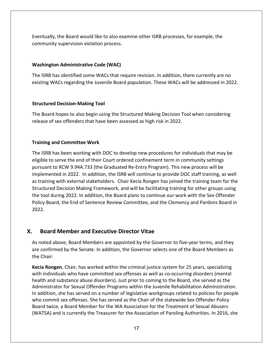Eventually, the Board would like to also examine other ISRB processes, for example, the community supervision violation process.

### **Washington Administrative Code (WAC)**

The ISRB has identified some WACs that require revision. In addition, there currently are no existing WACs regarding the Juvenile Board population. These WACs will be addressed in 2022.

#### **Structured Decision-Making Tool**

The Board hopes to also begin using the Structured Making Decision Tool when considering release of sex offenders that have been assessed as high risk in 2022.

#### **Training and Committee Work**

The ISRB has been working with DOC to develop new procedures for individuals that may be eligible to serve the end of their Court ordered confinement term in community settings pursuant to RCW 9.94A.733 (the Graduated Re-Entry Program). This new process will be implemented in 2022. In addition, the ISRB will continue to provide DOC staff training, as well as training with external stakeholders. Chair Kecia Rongen has joined the training team for the Structured Decision Making Framework, and will be facilitating training for other groups using the tool during 2022. In addition, the Board plans to continue our work with the Sex Offender Policy Board, the End of Sentence Review Committee, and the Clemency and Pardons Board in 2022.

### **X. Board Member and Executive Director Vitae**

As noted above, Board Members are appointed by the Governor to five-year terms, and they are confirmed by the Senate. In addition, the Governor selects one of the Board Members as the Chair:

**Kecia Rongen**, Chair, has worked within the criminal justice system for 25 years, specializing with individuals who have committed sex offenses as well as co-occurring disorders (mental health and substance abuse disorders). Just prior to coming to the Board, she served as the Administrator for Sexual Offender Programs within the Juvenile Rehabilitation Administration. In addition, she has served on a number of legislative workgroups related to policies for people who commit sex offenses. She has served as the Chair of the statewide Sex Offender Policy Board twice, a Board Member for the WA Association for the Treatment of Sexual Abusers (WATSA) and is currently the Treasurer for the Association of Paroling Authorities. In 2016, she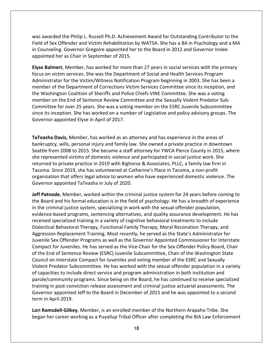was awarded the Philip L. Russell Ph.D. Achievement Award for Outstanding Contributor to the Field of Sex Offender and Victim Rehabilitation by WATSA. She has a BA in Psychology and a MA in Counseling. Governor Gregoire appointed her to the Board in 2012 and Governor Inslee appointed her as Chair in September of 2015.

**Elyse Balmert**, Member, has worked for more than 27 years in social services with the primary focus on victim services. She was the Department of Social and Health Services Program Administrator for the Victim/Witness Notification Program beginning in 2003. She has been a member of the Department of Corrections Victim Services Committee since its inception, and the Washington Coalition of Sheriffs and Police Chiefs VINE Committee. She was a voting member on the End of Sentence Review Committee and the Sexually Violent Predator Sub-Committee for over 25 years. She was a voting member on the ESRC Juvenile Subcommittee since its inception. She has worked on a number of Legislative and policy advisory groups. The Governor appointed Elyse in April of 2017.

**TaTeasha Davis,** Member, has worked as an attorney and has experience in the areas of bankruptcy, wills, personal injury and family law. She owned a private practice in downtown Seattle from 2008 to 2015. She became a staff attorney for YWCA Pierce County in 2015, where she represented victims of domestic violence and participated in social justice work. She returned to private practice in 2019 with Bighorse & Associates, PLLC, a family law firm in Tacoma. Since 2019, she has volunteered at Catherine's Place in Tacoma, a non-profit organization that offers legal advice to women who have experienced domestic violence. The Governor appointed TaTeasha in July of 2020.

**Jeff Patnode**, Member, worked within the criminal justice system for 24 years before coming to the Board and his formal education is in the field of psychology. He has a breadth of experience in the criminal justice system, specializing in work with the sexual offender population, evidence-based programs, sentencing alternatives, and quality assurance development. He has received specialized training in a variety of cognitive behavioral treatments to include Dialectical Behavioral Therapy, Functional Family Therapy, Moral Reconation Therapy, and Aggression Replacement Training. Most recently, he served as the State's Administrator for Juvenile Sex Offender Programs as well as the Governor Appointed Commissioner for Interstate Compact for Juveniles. He has served as the Vice-Chair for the Sex Offender Policy Board, Chair of the End of Sentence Review (ESRC) Juvenile Subcommittee, Chair of the Washington State Council on Interstate Compact for Juveniles and voting member of the ESRC and Sexually Violent Predator Subcommittee. He has worked with the sexual offender population in a variety of capacities to include direct service and program administration in both institution and parole/community programs. Since being on the Board, he has continued to receive specialized training in post-conviction release assessment and criminal justice actuarial assessments. The Governor appointed Jeff to the Board in December of 2015 and he was appointed to a second term in April 2019.

**Lori Ramsdell-Gilkey**, Member, is an enrolled member of the Northern Arapaho Tribe. She began her career working as a Puyallup Tribal Officer after completing the BIA Law Enforcement